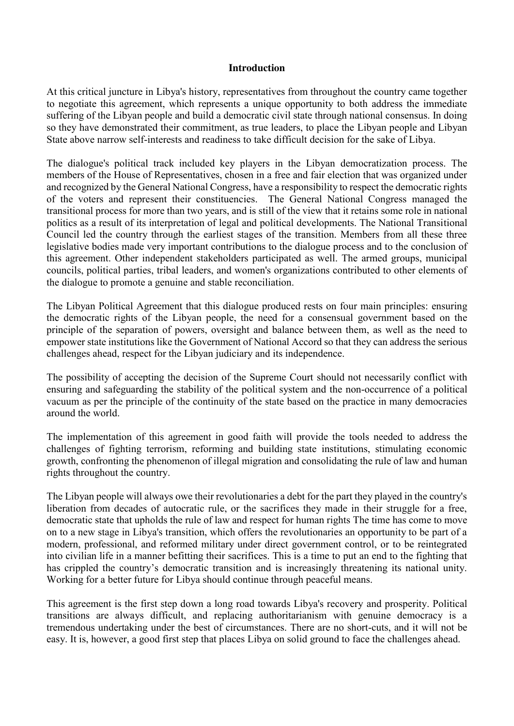## **Introduction**

At this critical juncture in Libya's history, representatives from throughout the country came together to negotiate this agreement, which represents a unique opportunity to both address the immediate suffering of the Libyan people and build a democratic civil state through national consensus. In doing so they have demonstrated their commitment, as true leaders, to place the Libyan people and Libyan State above narrow self-interests and readiness to take difficult decision for the sake of Libya.

The dialogue's political track included key players in the Libyan democratization process. The members of the House of Representatives, chosen in a free and fair election that was organized under and recognized by the General National Congress, have a responsibility to respect the democratic rights of the voters and represent their constituencies. The General National Congress managed the transitional process for more than two years, and is still of the view that it retains some role in national politics as a result of its interpretation of legal and political developments. The National Transitional Council led the country through the earliest stages of the transition. Members from all these three legislative bodies made very important contributions to the dialogue process and to the conclusion of this agreement. Other independent stakeholders participated as well. The armed groups, municipal councils, political parties, tribal leaders, and women's organizations contributed to other elements of the dialogue to promote a genuine and stable reconciliation.

The Libyan Political Agreement that this dialogue produced rests on four main principles: ensuring the democratic rights of the Libyan people, the need for a consensual government based on the principle of the separation of powers, oversight and balance between them, as well as the need to empower state institutions like the Government of National Accord so that they can address the serious challenges ahead, respect for the Libyan judiciary and its independence.

The possibility of accepting the decision of the Supreme Court should not necessarily conflict with ensuring and safeguarding the stability of the political system and the non-occurrence of a political vacuum as per the principle of the continuity of the state based on the practice in many democracies around the world.

The implementation of this agreement in good faith will provide the tools needed to address the challenges of fighting terrorism, reforming and building state institutions, stimulating economic growth, confronting the phenomenon of illegal migration and consolidating the rule of law and human rights throughout the country.

The Libyan people will always owe their revolutionaries a debt for the part they played in the country's liberation from decades of autocratic rule, or the sacrifices they made in their struggle for a free, democratic state that upholds the rule of law and respect for human rights The time has come to move on to a new stage in Libya's transition, which offers the revolutionaries an opportunity to be part of a modern, professional, and reformed military under direct government control, or to be reintegrated into civilian life in a manner befitting their sacrifices. This is a time to put an end to the fighting that has crippled the country's democratic transition and is increasingly threatening its national unity. Working for a better future for Libya should continue through peaceful means.

This agreement is the first step down a long road towards Libya's recovery and prosperity. Political transitions are always difficult, and replacing authoritarianism with genuine democracy is a tremendous undertaking under the best of circumstances. There are no short-cuts, and it will not be easy. It is, however, a good first step that places Libya on solid ground to face the challenges ahead.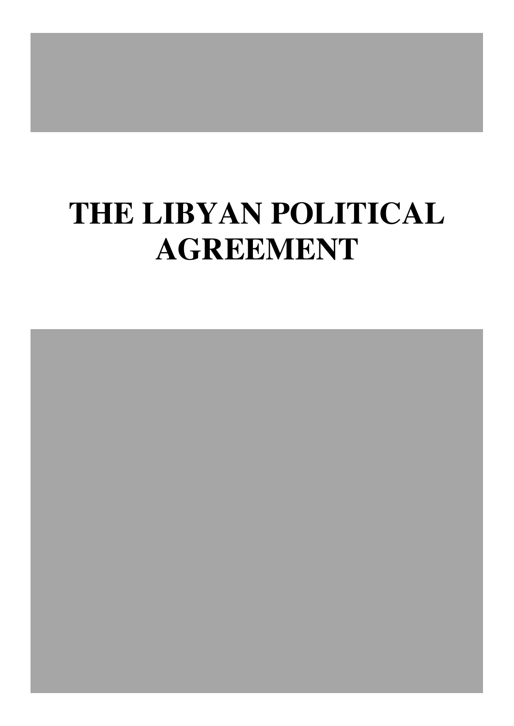# **THE LIBYAN POLITICAL AGREEMENT**

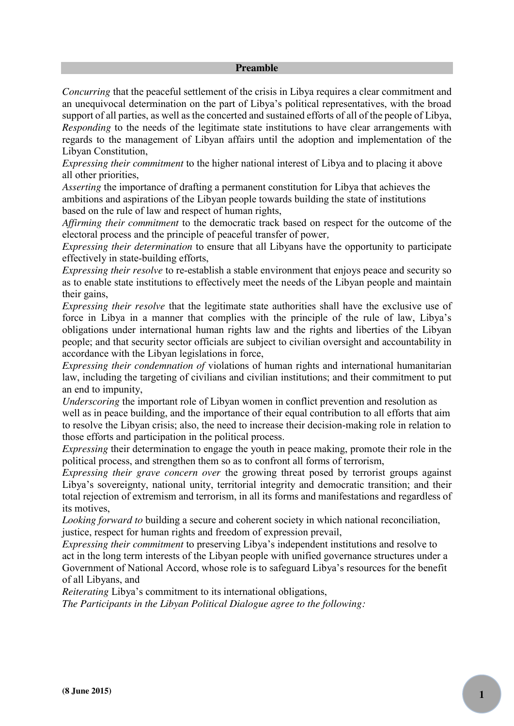#### **Preamble**

*Concurring* that the peaceful settlement of the crisis in Libya requires a clear commitment and an unequivocal determination on the part of Libya's political representatives, with the broad support of all parties, as well as the concerted and sustained efforts of all of the people of Libya, *Responding* to the needs of the legitimate state institutions to have clear arrangements with regards to the management of Libyan affairs until the adoption and implementation of the Libyan Constitution,

*Expressing their commitment* to the higher national interest of Libya and to placing it above all other priorities,

*Asserting* the importance of drafting a permanent constitution for Libya that achieves the ambitions and aspirations of the Libyan people towards building the state of institutions based on the rule of law and respect of human rights,

*Affirming their commitment* to the democratic track based on respect for the outcome of the electoral process and the principle of peaceful transfer of power*,*

*Expressing their determination* to ensure that all Libyans have the opportunity to participate effectively in state-building efforts,

*Expressing their resolve* to re-establish a stable environment that enjoys peace and security so as to enable state institutions to effectively meet the needs of the Libyan people and maintain their gains,

*Expressing their resolve* that the legitimate state authorities shall have the exclusive use of force in Libya in a manner that complies with the principle of the rule of law, Libya's obligations under international human rights law and the rights and liberties of the Libyan people; and that security sector officials are subject to civilian oversight and accountability in accordance with the Libyan legislations in force,

*Expressing their condemnation of* violations of human rights and international humanitarian law, including the targeting of civilians and civilian institutions; and their commitment to put an end to impunity,

*Underscoring* the important role of Libyan women in conflict prevention and resolution as well as in peace building, and the importance of their equal contribution to all efforts that aim to resolve the Libyan crisis; also, the need to increase their decision-making role in relation to those efforts and participation in the political process.

*Expressing* their determination to engage the youth in peace making, promote their role in the political process, and strengthen them so as to confront all forms of terrorism,

*Expressing their grave concern over* the growing threat posed by terrorist groups against Libya's sovereignty, national unity, territorial integrity and democratic transition; and their total rejection of extremism and terrorism, in all its forms and manifestations and regardless of its motives,

*Looking forward to* building a secure and coherent society in which national reconciliation, justice, respect for human rights and freedom of expression prevail,

*Expressing their commitment* to preserving Libya's independent institutions and resolve to act in the long term interests of the Libyan people with unified governance structures under a Government of National Accord, whose role is to safeguard Libya's resources for the benefit of all Libyans, and

*Reiterating* Libya's commitment to its international obligations,

*The Participants in the Libyan Political Dialogue agree to the following:*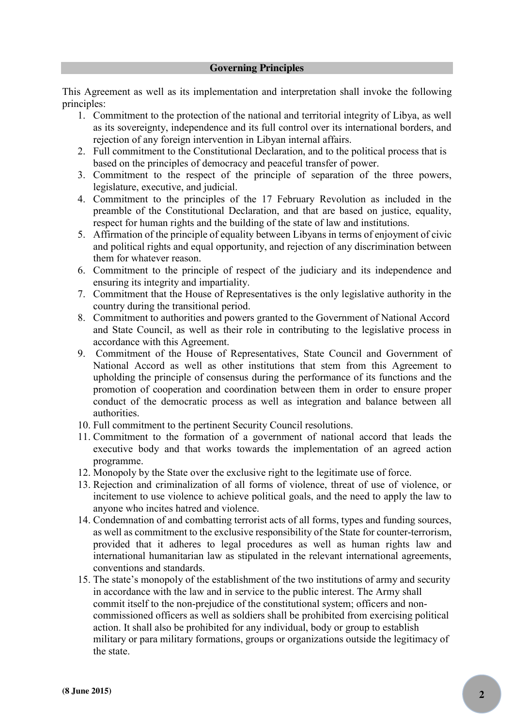## **Governing Principles**

This Agreement as well as its implementation and interpretation shall invoke the following principles:

- 1. Commitment to the protection of the national and territorial integrity of Libya, as well as its sovereignty, independence and its full control over its international borders, and rejection of any foreign intervention in Libyan internal affairs.
- 2. Full commitment to the Constitutional Declaration, and to the political process that is based on the principles of democracy and peaceful transfer of power.
- 3. Commitment to the respect of the principle of separation of the three powers, legislature, executive, and judicial.
- 4. Commitment to the principles of the 17 February Revolution as included in the preamble of the Constitutional Declaration, and that are based on justice, equality, respect for human rights and the building of the state of law and institutions.
- 5. Affirmation of the principle of equality between Libyans in terms of enjoyment of civic and political rights and equal opportunity, and rejection of any discrimination between them for whatever reason.
- 6. Commitment to the principle of respect of the judiciary and its independence and ensuring its integrity and impartiality.
- 7. Commitment that the House of Representatives is the only legislative authority in the country during the transitional period.
- 8. Commitment to authorities and powers granted to the Government of National Accord and State Council, as well as their role in contributing to the legislative process in accordance with this Agreement.
- 9. Commitment of the House of Representatives, State Council and Government of National Accord as well as other institutions that stem from this Agreement to upholding the principle of consensus during the performance of its functions and the promotion of cooperation and coordination between them in order to ensure proper conduct of the democratic process as well as integration and balance between all authorities.
- 10. Full commitment to the pertinent Security Council resolutions.
- 11. Commitment to the formation of a government of national accord that leads the executive body and that works towards the implementation of an agreed action programme.
- 12. Monopoly by the State over the exclusive right to the legitimate use of force.
- 13. Rejection and criminalization of all forms of violence, threat of use of violence, or incitement to use violence to achieve political goals, and the need to apply the law to anyone who incites hatred and violence.
- 14. Condemnation of and combatting terrorist acts of all forms, types and funding sources, as well as commitment to the exclusive responsibility of the State for counter-terrorism, provided that it adheres to legal procedures as well as human rights law and international humanitarian law as stipulated in the relevant international agreements, conventions and standards.
- 15. The state's monopoly of the establishment of the two institutions of army and security in accordance with the law and in service to the public interest. The Army shall commit itself to the non-prejudice of the constitutional system; officers and noncommissioned officers as well as soldiers shall be prohibited from exercising political action. It shall also be prohibited for any individual, body or group to establish military or para military formations, groups or organizations outside the legitimacy of the state.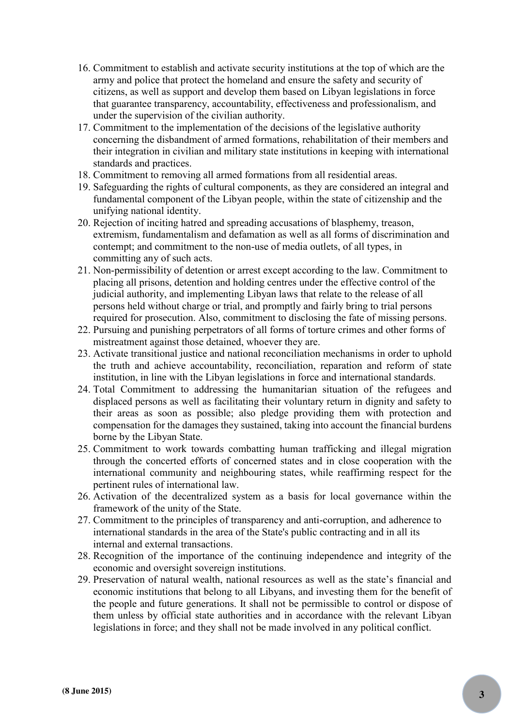- 16. Commitment to establish and activate security institutions at the top of which are the army and police that protect the homeland and ensure the safety and security of citizens, as well as support and develop them based on Libyan legislations in force that guarantee transparency, accountability, effectiveness and professionalism, and under the supervision of the civilian authority.
- 17. Commitment to the implementation of the decisions of the legislative authority concerning the disbandment of armed formations, rehabilitation of their members and their integration in civilian and military state institutions in keeping with international standards and practices.
- 18. Commitment to removing all armed formations from all residential areas.
- 19. Safeguarding the rights of cultural components, as they are considered an integral and fundamental component of the Libyan people, within the state of citizenship and the unifying national identity.
- 20. Rejection of inciting hatred and spreading accusations of blasphemy, treason, extremism, fundamentalism and defamation as well as all forms of discrimination and contempt; and commitment to the non-use of media outlets, of all types, in committing any of such acts.
- 21. Non-permissibility of detention or arrest except according to the law. Commitment to placing all prisons, detention and holding centres under the effective control of the judicial authority, and implementing Libyan laws that relate to the release of all persons held without charge or trial, and promptly and fairly bring to trial persons required for prosecution. Also, commitment to disclosing the fate of missing persons.
- 22. Pursuing and punishing perpetrators of all forms of torture crimes and other forms of mistreatment against those detained, whoever they are.
- 23. Activate transitional justice and national reconciliation mechanisms in order to uphold the truth and achieve accountability, reconciliation, reparation and reform of state institution, in line with the Libyan legislations in force and international standards.
- 24. Total Commitment to addressing the humanitarian situation of the refugees and displaced persons as well as facilitating their voluntary return in dignity and safety to their areas as soon as possible; also pledge providing them with protection and compensation for the damages they sustained, taking into account the financial burdens borne by the Libyan State.
- 25. Commitment to work towards combatting human trafficking and illegal migration through the concerted efforts of concerned states and in close cooperation with the international community and neighbouring states, while reaffirming respect for the pertinent rules of international law.
- 26. Activation of the decentralized system as a basis for local governance within the framework of the unity of the State.
- 27. Commitment to the principles of transparency and anti-corruption, and adherence to international standards in the area of the State's public contracting and in all its internal and external transactions.
- 28. Recognition of the importance of the continuing independence and integrity of the economic and oversight sovereign institutions.
- 29. Preservation of natural wealth, national resources as well as the state's financial and economic institutions that belong to all Libyans, and investing them for the benefit of the people and future generations. It shall not be permissible to control or dispose of them unless by official state authorities and in accordance with the relevant Libyan legislations in force; and they shall not be made involved in any political conflict.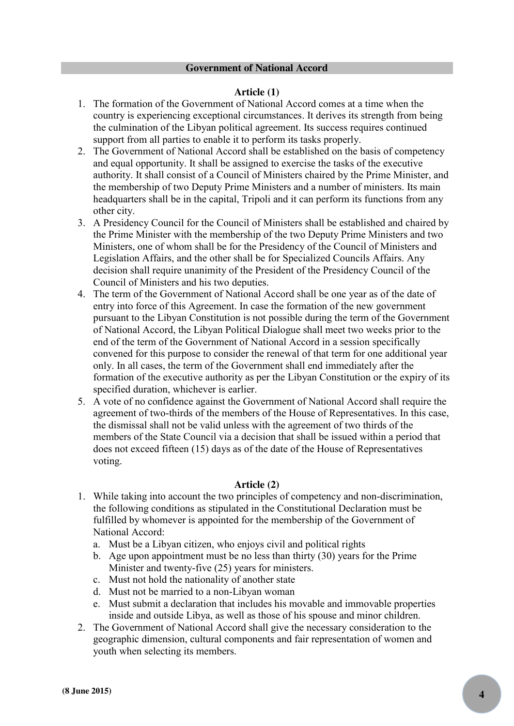## **Article (1)**

- 1. The formation of the Government of National Accord comes at a time when the country is experiencing exceptional circumstances. It derives its strength from being the culmination of the Libyan political agreement. Its success requires continued support from all parties to enable it to perform its tasks properly.
- 2. The Government of National Accord shall be established on the basis of competency and equal opportunity. It shall be assigned to exercise the tasks of the executive authority. It shall consist of a Council of Ministers chaired by the Prime Minister, and the membership of two Deputy Prime Ministers and a number of ministers. Its main headquarters shall be in the capital, Tripoli and it can perform its functions from any other city.
- 3. A Presidency Council for the Council of Ministers shall be established and chaired by the Prime Minister with the membership of the two Deputy Prime Ministers and two Ministers, one of whom shall be for the Presidency of the Council of Ministers and Legislation Affairs, and the other shall be for Specialized Councils Affairs. Any decision shall require unanimity of the President of the Presidency Council of the Council of Ministers and his two deputies.
- 4. The term of the Government of National Accord shall be one year as of the date of entry into force of this Agreement. In case the formation of the new government pursuant to the Libyan Constitution is not possible during the term of the Government of National Accord, the Libyan Political Dialogue shall meet two weeks prior to the end of the term of the Government of National Accord in a session specifically convened for this purpose to consider the renewal of that term for one additional year only. In all cases, the term of the Government shall end immediately after the formation of the executive authority as per the Libyan Constitution or the expiry of its specified duration, whichever is earlier.
- 5. A vote of no confidence against the Government of National Accord shall require the agreement of two-thirds of the members of the House of Representatives. In this case, the dismissal shall not be valid unless with the agreement of two thirds of the members of the State Council via a decision that shall be issued within a period that does not exceed fifteen (15) days as of the date of the House of Representatives voting.

## **Article (2)**

- 1. While taking into account the two principles of competency and non-discrimination, the following conditions as stipulated in the Constitutional Declaration must be fulfilled by whomever is appointed for the membership of the Government of National Accord:
	- a. Must be a Libyan citizen, who enjoys civil and political rights
	- b. Age upon appointment must be no less than thirty (30) years for the Prime Minister and twenty-five (25) years for ministers.
	- c. Must not hold the nationality of another state
	- d. Must not be married to a non-Libyan woman
	- e. Must submit a declaration that includes his movable and immovable properties inside and outside Libya, as well as those of his spouse and minor children.
- 2. The Government of National Accord shall give the necessary consideration to the geographic dimension, cultural components and fair representation of women and youth when selecting its members.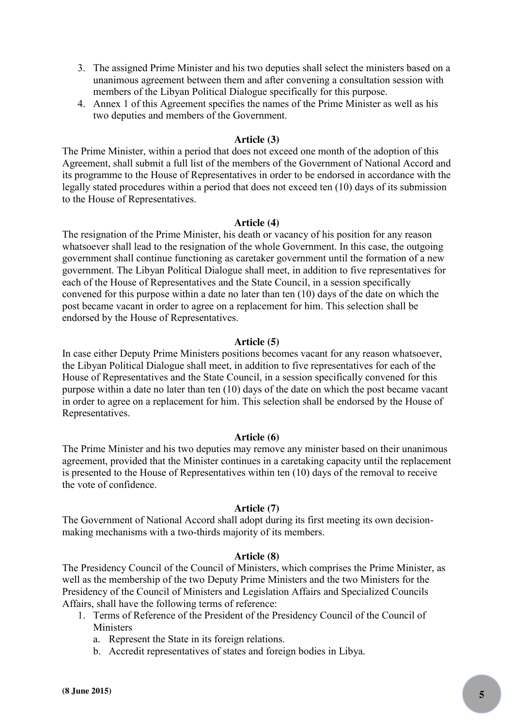- 3. The assigned Prime Minister and his two deputies shall select the ministers based on a unanimous agreement between them and after convening a consultation session with members of the Libyan Political Dialogue specifically for this purpose.
- 4. Annex 1 of this Agreement specifies the names of the Prime Minister as well as his two deputies and members of the Government.

# **Article (3)**

The Prime Minister, within a period that does not exceed one month of the adoption of this Agreement, shall submit a full list of the members of the Government of National Accord and its programme to the House of Representatives in order to be endorsed in accordance with the legally stated procedures within a period that does not exceed ten (10) days of its submission to the House of Representatives.

## **Article (4)**

The resignation of the Prime Minister, his death or vacancy of his position for any reason whatsoever shall lead to the resignation of the whole Government. In this case, the outgoing government shall continue functioning as caretaker government until the formation of a new government. The Libyan Political Dialogue shall meet, in addition to five representatives for each of the House of Representatives and the State Council, in a session specifically convened for this purpose within a date no later than ten (10) days of the date on which the post became vacant in order to agree on a replacement for him. This selection shall be endorsed by the House of Representatives.

## **Article (5)**

In case either Deputy Prime Ministers positions becomes vacant for any reason whatsoever, the Libyan Political Dialogue shall meet, in addition to five representatives for each of the House of Representatives and the State Council, in a session specifically convened for this purpose within a date no later than ten (10) days of the date on which the post became vacant in order to agree on a replacement for him. This selection shall be endorsed by the House of Representatives.

## **Article (6)**

The Prime Minister and his two deputies may remove any minister based on their unanimous agreement, provided that the Minister continues in a caretaking capacity until the replacement is presented to the House of Representatives within ten (10) days of the removal to receive the vote of confidence.

## **Article (7)**

The Government of National Accord shall adopt during its first meeting its own decisionmaking mechanisms with a two-thirds majority of its members.

## **Article (8)**

The Presidency Council of the Council of Ministers, which comprises the Prime Minister, as well as the membership of the two Deputy Prime Ministers and the two Ministers for the Presidency of the Council of Ministers and Legislation Affairs and Specialized Councils Affairs, shall have the following terms of reference:

- 1. Terms of Reference of the President of the Presidency Council of the Council of Ministers
	- a. Represent the State in its foreign relations.
	- b. Accredit representatives of states and foreign bodies in Libya.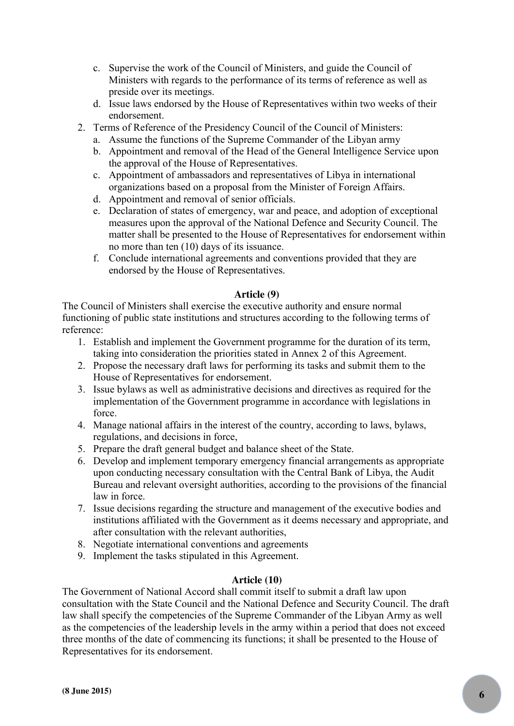- c. Supervise the work of the Council of Ministers, and guide the Council of Ministers with regards to the performance of its terms of reference as well as preside over its meetings.
- d. Issue laws endorsed by the House of Representatives within two weeks of their endorsement.
- 2. Terms of Reference of the Presidency Council of the Council of Ministers:
	- a. Assume the functions of the Supreme Commander of the Libyan army
	- b. Appointment and removal of the Head of the General Intelligence Service upon the approval of the House of Representatives.
	- c. Appointment of ambassadors and representatives of Libya in international organizations based on a proposal from the Minister of Foreign Affairs.
	- d. Appointment and removal of senior officials.
	- e. Declaration of states of emergency, war and peace, and adoption of exceptional measures upon the approval of the National Defence and Security Council. The matter shall be presented to the House of Representatives for endorsement within no more than ten (10) days of its issuance.
	- f. Conclude international agreements and conventions provided that they are endorsed by the House of Representatives.

# **Article (9)**

The Council of Ministers shall exercise the executive authority and ensure normal functioning of public state institutions and structures according to the following terms of reference:

- 1. Establish and implement the Government programme for the duration of its term, taking into consideration the priorities stated in Annex 2 of this Agreement.
- 2. Propose the necessary draft laws for performing its tasks and submit them to the House of Representatives for endorsement.
- 3. Issue bylaws as well as administrative decisions and directives as required for the implementation of the Government programme in accordance with legislations in force.
- 4. Manage national affairs in the interest of the country, according to laws, bylaws, regulations, and decisions in force,
- 5. Prepare the draft general budget and balance sheet of the State.
- 6. Develop and implement temporary emergency financial arrangements as appropriate upon conducting necessary consultation with the Central Bank of Libya, the Audit Bureau and relevant oversight authorities, according to the provisions of the financial law in force.
- 7. Issue decisions regarding the structure and management of the executive bodies and institutions affiliated with the Government as it deems necessary and appropriate, and after consultation with the relevant authorities,
- 8. Negotiate international conventions and agreements
- 9. Implement the tasks stipulated in this Agreement.

# **Article (10)**

The Government of National Accord shall commit itself to submit a draft law upon consultation with the State Council and the National Defence and Security Council. The draft law shall specify the competencies of the Supreme Commander of the Libyan Army as well as the competencies of the leadership levels in the army within a period that does not exceed three months of the date of commencing its functions; it shall be presented to the House of Representatives for its endorsement.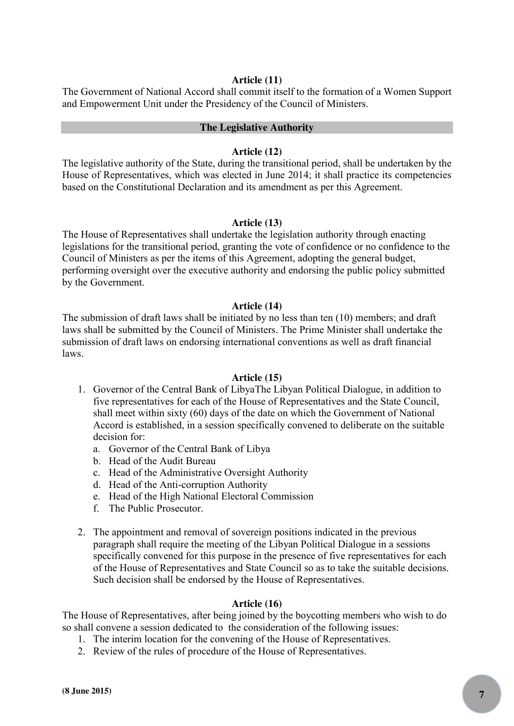# **Article (11)**

The Government of National Accord shall commit itself to the formation of a Women Support and Empowerment Unit under the Presidency of the Council of Ministers.

## **The Legislative Authority**

#### **Article (12)**

The legislative authority of the State, during the transitional period, shall be undertaken by the House of Representatives, which was elected in June 2014; it shall practice its competencies based on the Constitutional Declaration and its amendment as per this Agreement.

## **Article (13)**

The House of Representatives shall undertake the legislation authority through enacting legislations for the transitional period, granting the vote of confidence or no confidence to the Council of Ministers as per the items of this Agreement, adopting the general budget, performing oversight over the executive authority and endorsing the public policy submitted by the Government.

## **Article (14)**

The submission of draft laws shall be initiated by no less than ten (10) members; and draft laws shall be submitted by the Council of Ministers. The Prime Minister shall undertake the submission of draft laws on endorsing international conventions as well as draft financial laws.

## **Article (15)**

- 1. Governor of the Central Bank of LibyaThe Libyan Political Dialogue, in addition to five representatives for each of the House of Representatives and the State Council, shall meet within sixty (60) days of the date on which the Government of National Accord is established, in a session specifically convened to deliberate on the suitable decision for:
	- a. Governor of the Central Bank of Libya
	- b. Head of the Audit Bureau
	- c. Head of the Administrative Oversight Authority
	- d. Head of the Anti-corruption Authority
	- e. Head of the High National Electoral Commission
	- f. The Public Prosecutor.
- 2. The appointment and removal of sovereign positions indicated in the previous paragraph shall require the meeting of the Libyan Political Dialogue in a sessions specifically convened for this purpose in the presence of five representatives for each of the House of Representatives and State Council so as to take the suitable decisions. Such decision shall be endorsed by the House of Representatives.

#### **Article (16)**

The House of Representatives, after being joined by the boycotting members who wish to do so shall convene a session dedicated to the consideration of the following issues:

- 1. The interim location for the convening of the House of Representatives.
- 2. Review of the rules of procedure of the House of Representatives.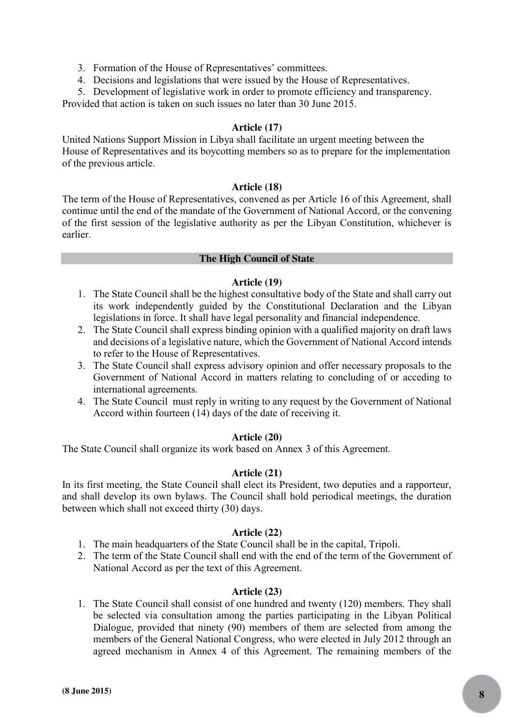- 3. Formation of the House of Representatives' committees.
- 4. Decisions and legislations that were issued by the House of Representatives.
- 5. Development of legislative work in order to promote efficiency and transparency.

Provided that action is taken on such issues no later than 30 June 2015.

# **Article (17)**

United Nations Support Mission in Libya shall facilitate an urgent meeting between the House of Representatives and its boycotting members so as to prepare for the implementation of the previous article.

# **Article (18)**

The term of the House of Representatives, convened as per Article 16 of this Agreement, shall continue until the end of the mandate of the Government of National Accord, or the convening of the first session of the legislative authority as per the Libyan Constitution, whichever is earlier.

# **The High Council of State**

# **Article (19)**

- 1. The State Council shall be the highest consultative body of the State and shall carry out its work independently guided by the Constitutional Declaration and the Libyan legislations in force. It shall have legal personality and financial independence.
- 2. The State Council shall express binding opinion with a qualified majority on draft laws and decisions of a legislative nature, which the Government of National Accord intends to refer to the House of Representatives.
- 3. The State Council shall express advisory opinion and offer necessary proposals to the Government of National Accord in matters relating to concluding of or acceding to international agreements.
- 4. The State Council must reply in writing to any request by the Government of National Accord within fourteen (14) days of the date of receiving it.

# **Article (20)**

The State Council shall organize its work based on Annex 3 of this Agreement.

# **Article (21)**

In its first meeting, the State Council shall elect its President, two deputies and a rapporteur, and shall develop its own bylaws. The Council shall hold periodical meetings, the duration between which shall not exceed thirty (30) days.

# **Article (22)**

- 1. The main headquarters of the State Council shall be in the capital, Tripoli.
- 2. The term of the State Council shall end with the end of the term of the Government of National Accord as per the text of this Agreement.

# **Article (23)**

1. The State Council shall consist of one hundred and twenty (120) members. They shall be selected via consultation among the parties participating in the Libyan Political Dialogue, provided that ninety (90) members of them are selected from among the members of the General National Congress, who were elected in July 2012 through an agreed mechanism in Annex 4 of this Agreement. The remaining members of the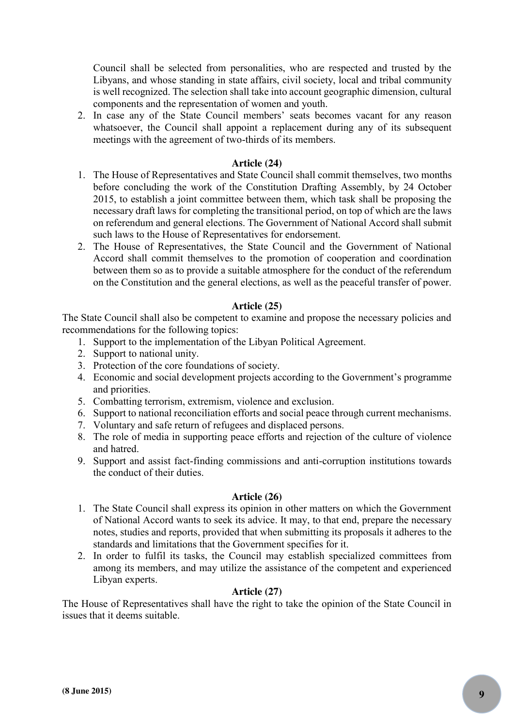Council shall be selected from personalities, who are respected and trusted by the Libyans, and whose standing in state affairs, civil society, local and tribal community is well recognized. The selection shall take into account geographic dimension, cultural components and the representation of women and youth.

2. In case any of the State Council members' seats becomes vacant for any reason whatsoever, the Council shall appoint a replacement during any of its subsequent meetings with the agreement of two-thirds of its members.

# **Article (24)**

- 1. The House of Representatives and State Council shall commit themselves, two months before concluding the work of the Constitution Drafting Assembly, by 24 October 2015, to establish a joint committee between them, which task shall be proposing the necessary draft laws for completing the transitional period, on top of which are the laws on referendum and general elections. The Government of National Accord shall submit such laws to the House of Representatives for endorsement.
- 2. The House of Representatives, the State Council and the Government of National Accord shall commit themselves to the promotion of cooperation and coordination between them so as to provide a suitable atmosphere for the conduct of the referendum on the Constitution and the general elections, as well as the peaceful transfer of power.

# **Article (25)**

The State Council shall also be competent to examine and propose the necessary policies and recommendations for the following topics:

- 1. Support to the implementation of the Libyan Political Agreement.
- 2. Support to national unity.
- 3. Protection of the core foundations of society.
- 4. Economic and social development projects according to the Government's programme and priorities.
- 5. Combatting terrorism, extremism, violence and exclusion.
- 6. Support to national reconciliation efforts and social peace through current mechanisms.
- 7. Voluntary and safe return of refugees and displaced persons.
- 8. The role of media in supporting peace efforts and rejection of the culture of violence and hatred.
- 9. Support and assist fact-finding commissions and anti-corruption institutions towards the conduct of their duties.

# **Article (26)**

- 1. The State Council shall express its opinion in other matters on which the Government of National Accord wants to seek its advice. It may, to that end, prepare the necessary notes, studies and reports, provided that when submitting its proposals it adheres to the standards and limitations that the Government specifies for it.
- 2. In order to fulfil its tasks, the Council may establish specialized committees from among its members, and may utilize the assistance of the competent and experienced Libyan experts.

# **Article (27)**

The House of Representatives shall have the right to take the opinion of the State Council in issues that it deems suitable.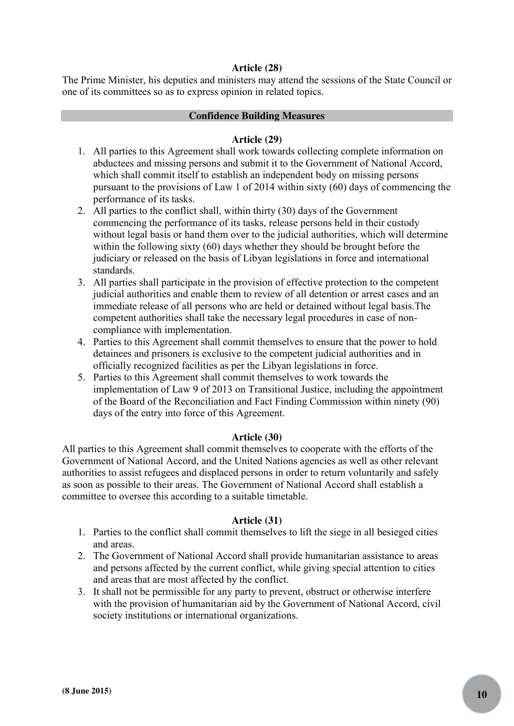# **Article (28)**

The Prime Minister, his deputies and ministers may attend the sessions of the State Council or one of its committees so as to express opinion in related topics.

# **Confidence Building Measures**

# **Article (29)**

- 1. All parties to this Agreement shall work towards collecting complete information on abductees and missing persons and submit it to the Government of National Accord, which shall commit itself to establish an independent body on missing persons pursuant to the provisions of Law 1 of 2014 within sixty (60) days of commencing the performance of its tasks.
- 2. All parties to the conflict shall, within thirty (30) days of the Government commencing the performance of its tasks, release persons held in their custody without legal basis or hand them over to the judicial authorities, which will determine within the following sixty (60) days whether they should be brought before the judiciary or released on the basis of Libyan legislations in force and international standards.
- 3. All parties shall participate in the provision of effective protection to the competent judicial authorities and enable them to review of all detention or arrest cases and an immediate release of all persons who are held or detained without legal basis.The competent authorities shall take the necessary legal procedures in case of noncompliance with implementation.
- 4. Parties to this Agreement shall commit themselves to ensure that the power to hold detainees and prisoners is exclusive to the competent judicial authorities and in officially recognized facilities as per the Libyan legislations in force.
- 5. Parties to this Agreement shall commit themselves to work towards the implementation of Law 9 of 2013 on Transitional Justice, including the appointment of the Board of the Reconciliation and Fact Finding Commission within ninety (90) days of the entry into force of this Agreement.

# **Article (30)**

All parties to this Agreement shall commit themselves to cooperate with the efforts of the Government of National Accord, and the United Nations agencies as well as other relevant authorities to assist refugees and displaced persons in order to return voluntarily and safely as soon as possible to their areas. The Government of National Accord shall establish a committee to oversee this according to a suitable timetable.

# **Article (31)**

- 1. Parties to the conflict shall commit themselves to lift the siege in all besieged cities and areas.
- 2. The Government of National Accord shall provide humanitarian assistance to areas and persons affected by the current conflict, while giving special attention to cities and areas that are most affected by the conflict.
- 3. It shall not be permissible for any party to prevent, obstruct or otherwise interfere with the provision of humanitarian aid by the Government of National Accord, civil society institutions or international organizations.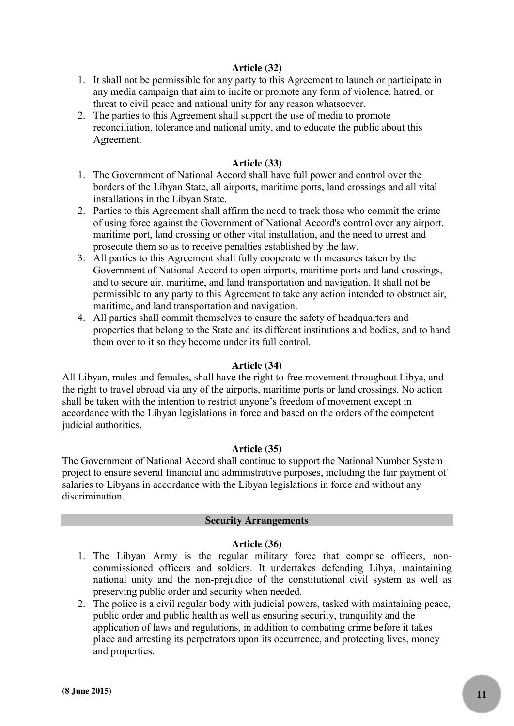# **Article (32)**

- 1. It shall not be permissible for any party to this Agreement to launch or participate in any media campaign that aim to incite or promote any form of violence, hatred, or threat to civil peace and national unity for any reason whatsoever.
- 2. The parties to this Agreement shall support the use of media to promote reconciliation, tolerance and national unity, and to educate the public about this Agreement.

## **Article (33)**

- 1. The Government of National Accord shall have full power and control over the borders of the Libyan State, all airports, maritime ports, land crossings and all vital installations in the Libyan State.
- 2. Parties to this Agreement shall affirm the need to track those who commit the crime of using force against the Government of National Accord's control over any airport, maritime port, land crossing or other vital installation, and the need to arrest and prosecute them so as to receive penalties established by the law.
- 3. All parties to this Agreement shall fully cooperate with measures taken by the Government of National Accord to open airports, maritime ports and land crossings, and to secure air, maritime, and land transportation and navigation. It shall not be permissible to any party to this Agreement to take any action intended to obstruct air, maritime, and land transportation and navigation.
- 4. All parties shall commit themselves to ensure the safety of headquarters and properties that belong to the State and its different institutions and bodies, and to hand them over to it so they become under its full control.

## **Article (34)**

All Libyan, males and females, shall have the right to free movement throughout Libya, and the right to travel abroad via any of the airports, maritime ports or land crossings. No action shall be taken with the intention to restrict anyone's freedom of movement except in accordance with the Libyan legislations in force and based on the orders of the competent judicial authorities.

## **Article (35)**

The Government of National Accord shall continue to support the National Number System project to ensure several financial and administrative purposes, including the fair payment of salaries to Libyans in accordance with the Libyan legislations in force and without any discrimination.

## **Security Arrangements**

## **Article (36)**

- 1. The Libyan Army is the regular military force that comprise officers, noncommissioned officers and soldiers. It undertakes defending Libya, maintaining national unity and the non-prejudice of the constitutional civil system as well as preserving public order and security when needed.
- 2. The police is a civil regular body with judicial powers, tasked with maintaining peace, public order and public health as well as ensuring security, tranquility and the application of laws and regulations, in addition to combating crime before it takes place and arresting its perpetrators upon its occurrence, and protecting lives, money and properties.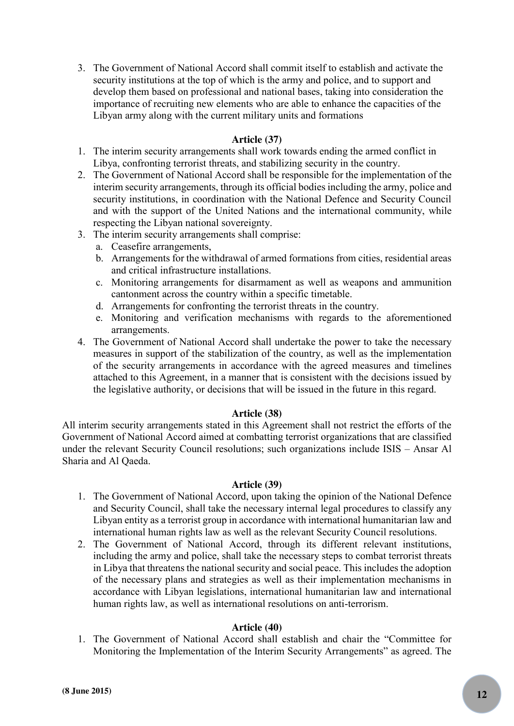3. The Government of National Accord shall commit itself to establish and activate the security institutions at the top of which is the army and police, and to support and develop them based on professional and national bases, taking into consideration the importance of recruiting new elements who are able to enhance the capacities of the Libyan army along with the current military units and formations

# **Article (37)**

- 1. The interim security arrangements shall work towards ending the armed conflict in Libya, confronting terrorist threats, and stabilizing security in the country.
- 2. The Government of National Accord shall be responsible for the implementation of the interim security arrangements, through its official bodies including the army, police and security institutions, in coordination with the National Defence and Security Council and with the support of the United Nations and the international community, while respecting the Libyan national sovereignty.
- 3. The interim security arrangements shall comprise:
	- a. Ceasefire arrangements,
	- b. Arrangements for the withdrawal of armed formations from cities, residential areas and critical infrastructure installations.
	- c. Monitoring arrangements for disarmament as well as weapons and ammunition cantonment across the country within a specific timetable.
	- d. Arrangements for confronting the terrorist threats in the country.
	- e. Monitoring and verification mechanisms with regards to the aforementioned arrangements.
- 4. The Government of National Accord shall undertake the power to take the necessary measures in support of the stabilization of the country, as well as the implementation of the security arrangements in accordance with the agreed measures and timelines attached to this Agreement, in a manner that is consistent with the decisions issued by the legislative authority, or decisions that will be issued in the future in this regard.

# **Article (38)**

All interim security arrangements stated in this Agreement shall not restrict the efforts of the Government of National Accord aimed at combatting terrorist organizations that are classified under the relevant Security Council resolutions; such organizations include ISIS – Ansar Al Sharia and Al Qaeda.

# **Article (39)**

- 1. The Government of National Accord, upon taking the opinion of the National Defence and Security Council, shall take the necessary internal legal procedures to classify any Libyan entity as a terrorist group in accordance with international humanitarian law and international human rights law as well as the relevant Security Council resolutions.
- 2. The Government of National Accord, through its different relevant institutions, including the army and police, shall take the necessary steps to combat terrorist threats in Libya that threatens the national security and social peace. This includes the adoption of the necessary plans and strategies as well as their implementation mechanisms in accordance with Libyan legislations, international humanitarian law and international human rights law, as well as international resolutions on anti-terrorism.

## **Article (40)**

1. The Government of National Accord shall establish and chair the "Committee for Monitoring the Implementation of the Interim Security Arrangements" as agreed. The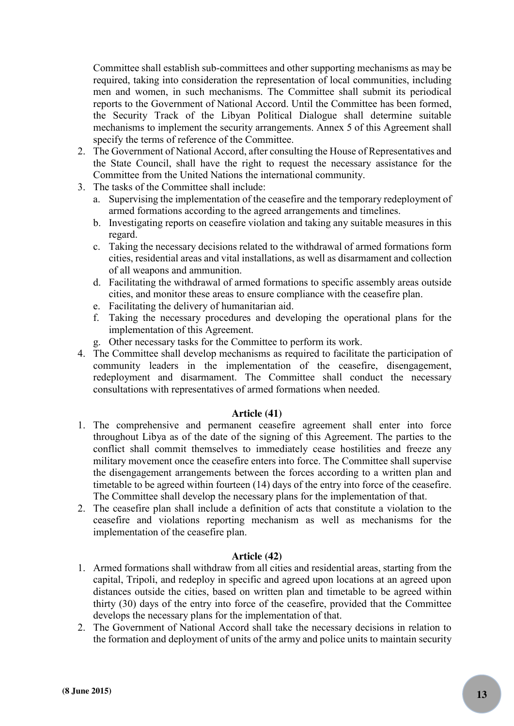Committee shall establish sub-committees and other supporting mechanisms as may be required, taking into consideration the representation of local communities, including men and women, in such mechanisms. The Committee shall submit its periodical reports to the Government of National Accord. Until the Committee has been formed, the Security Track of the Libyan Political Dialogue shall determine suitable mechanisms to implement the security arrangements. Annex 5 of this Agreement shall specify the terms of reference of the Committee.

- 2. The Government of National Accord, after consulting the House of Representatives and the State Council, shall have the right to request the necessary assistance for the Committee from the United Nations the international community.
- 3. The tasks of the Committee shall include:
	- a. Supervising the implementation of the ceasefire and the temporary redeployment of armed formations according to the agreed arrangements and timelines.
	- b. Investigating reports on ceasefire violation and taking any suitable measures in this regard.
	- c. Taking the necessary decisions related to the withdrawal of armed formations form cities, residential areas and vital installations, as well as disarmament and collection of all weapons and ammunition.
	- d. Facilitating the withdrawal of armed formations to specific assembly areas outside cities, and monitor these areas to ensure compliance with the ceasefire plan.
	- e. Facilitating the delivery of humanitarian aid.
	- f. Taking the necessary procedures and developing the operational plans for the implementation of this Agreement.
	- g. Other necessary tasks for the Committee to perform its work.
- 4. The Committee shall develop mechanisms as required to facilitate the participation of community leaders in the implementation of the ceasefire, disengagement, redeployment and disarmament. The Committee shall conduct the necessary consultations with representatives of armed formations when needed.

# **Article (41)**

- 1. The comprehensive and permanent ceasefire agreement shall enter into force throughout Libya as of the date of the signing of this Agreement. The parties to the conflict shall commit themselves to immediately cease hostilities and freeze any military movement once the ceasefire enters into force. The Committee shall supervise the disengagement arrangements between the forces according to a written plan and timetable to be agreed within fourteen (14) days of the entry into force of the ceasefire. The Committee shall develop the necessary plans for the implementation of that.
- 2. The ceasefire plan shall include a definition of acts that constitute a violation to the ceasefire and violations reporting mechanism as well as mechanisms for the implementation of the ceasefire plan.

# **Article (42)**

- 1. Armed formations shall withdraw from all cities and residential areas, starting from the capital, Tripoli, and redeploy in specific and agreed upon locations at an agreed upon distances outside the cities, based on written plan and timetable to be agreed within thirty (30) days of the entry into force of the ceasefire, provided that the Committee develops the necessary plans for the implementation of that.
- 2. The Government of National Accord shall take the necessary decisions in relation to the formation and deployment of units of the army and police units to maintain security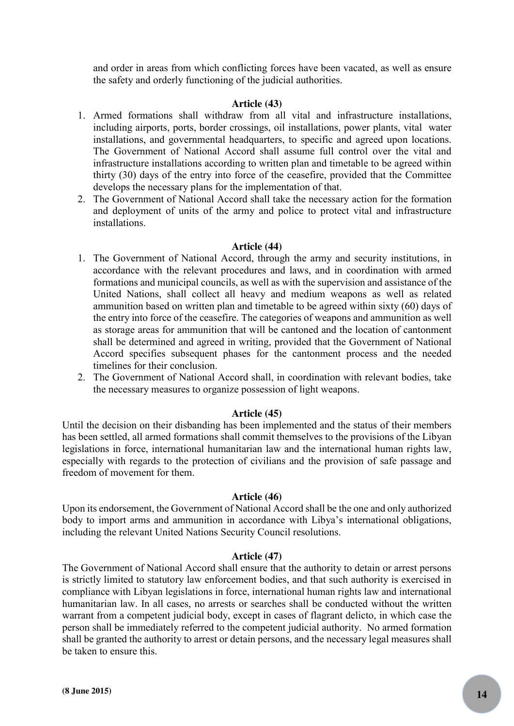and order in areas from which conflicting forces have been vacated, as well as ensure the safety and orderly functioning of the judicial authorities.

## **Article (43)**

- 1. Armed formations shall withdraw from all vital and infrastructure installations, including airports, ports, border crossings, oil installations, power plants, vital water installations, and governmental headquarters, to specific and agreed upon locations. The Government of National Accord shall assume full control over the vital and infrastructure installations according to written plan and timetable to be agreed within thirty (30) days of the entry into force of the ceasefire, provided that the Committee develops the necessary plans for the implementation of that.
- 2. The Government of National Accord shall take the necessary action for the formation and deployment of units of the army and police to protect vital and infrastructure installations.

## **Article (44)**

- 1. The Government of National Accord, through the army and security institutions, in accordance with the relevant procedures and laws, and in coordination with armed formations and municipal councils, as well as with the supervision and assistance of the United Nations, shall collect all heavy and medium weapons as well as related ammunition based on written plan and timetable to be agreed within sixty (60) days of the entry into force of the ceasefire. The categories of weapons and ammunition as well as storage areas for ammunition that will be cantoned and the location of cantonment shall be determined and agreed in writing, provided that the Government of National Accord specifies subsequent phases for the cantonment process and the needed timelines for their conclusion.
- 2. The Government of National Accord shall, in coordination with relevant bodies, take the necessary measures to organize possession of light weapons.

## **Article (45)**

Until the decision on their disbanding has been implemented and the status of their members has been settled, all armed formations shall commit themselves to the provisions of the Libyan legislations in force, international humanitarian law and the international human rights law, especially with regards to the protection of civilians and the provision of safe passage and freedom of movement for them.

## **Article (46)**

Upon its endorsement, the Government of National Accord shall be the one and only authorized body to import arms and ammunition in accordance with Libya's international obligations, including the relevant United Nations Security Council resolutions.

## **Article (47)**

The Government of National Accord shall ensure that the authority to detain or arrest persons is strictly limited to statutory law enforcement bodies, and that such authority is exercised in compliance with Libyan legislations in force, international human rights law and international humanitarian law. In all cases, no arrests or searches shall be conducted without the written warrant from a competent judicial body, except in cases of flagrant delicto, in which case the person shall be immediately referred to the competent judicial authority. No armed formation shall be granted the authority to arrest or detain persons, and the necessary legal measures shall be taken to ensure this.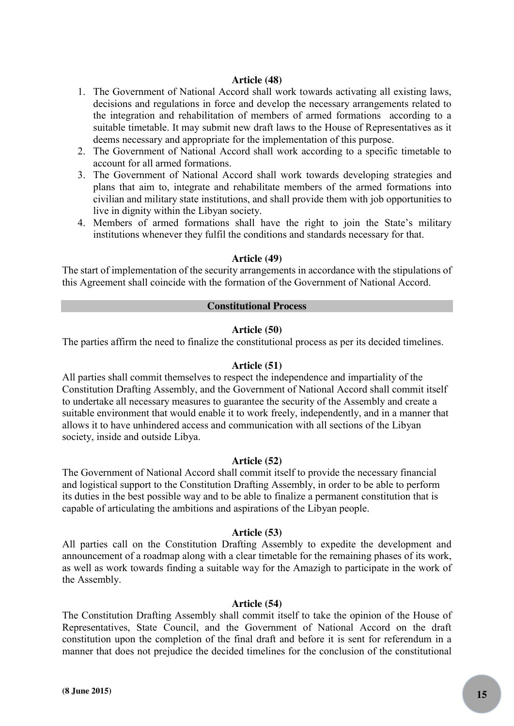# **Article (48)**

- 1. The Government of National Accord shall work towards activating all existing laws, decisions and regulations in force and develop the necessary arrangements related to the integration and rehabilitation of members of armed formations according to a suitable timetable. It may submit new draft laws to the House of Representatives as it deems necessary and appropriate for the implementation of this purpose.
- 2. The Government of National Accord shall work according to a specific timetable to account for all armed formations.
- 3. The Government of National Accord shall work towards developing strategies and plans that aim to, integrate and rehabilitate members of the armed formations into civilian and military state institutions, and shall provide them with job opportunities to live in dignity within the Libyan society.
- 4. Members of armed formations shall have the right to join the State's military institutions whenever they fulfil the conditions and standards necessary for that.

#### **Article (49)**

The start of implementation of the security arrangements in accordance with the stipulations of this Agreement shall coincide with the formation of the Government of National Accord.

## **Constitutional Process**

#### **Article (50)**

The parties affirm the need to finalize the constitutional process as per its decided timelines.

#### **Article (51)**

All parties shall commit themselves to respect the independence and impartiality of the Constitution Drafting Assembly, and the Government of National Accord shall commit itself to undertake all necessary measures to guarantee the security of the Assembly and create a suitable environment that would enable it to work freely, independently, and in a manner that allows it to have unhindered access and communication with all sections of the Libyan society, inside and outside Libya.

## **Article (52)**

The Government of National Accord shall commit itself to provide the necessary financial and logistical support to the Constitution Drafting Assembly, in order to be able to perform its duties in the best possible way and to be able to finalize a permanent constitution that is capable of articulating the ambitions and aspirations of the Libyan people.

## **Article (53)**

All parties call on the Constitution Drafting Assembly to expedite the development and announcement of a roadmap along with a clear timetable for the remaining phases of its work, as well as work towards finding a suitable way for the Amazigh to participate in the work of the Assembly.

#### **Article (54)**

The Constitution Drafting Assembly shall commit itself to take the opinion of the House of Representatives, State Council, and the Government of National Accord on the draft constitution upon the completion of the final draft and before it is sent for referendum in a manner that does not prejudice the decided timelines for the conclusion of the constitutional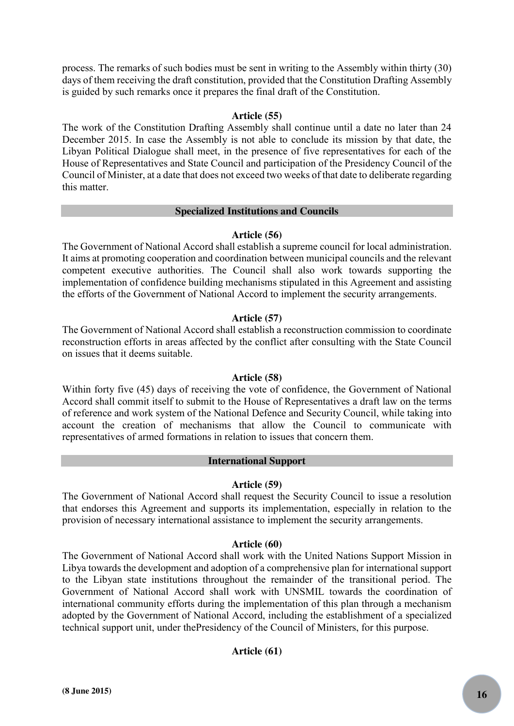process. The remarks of such bodies must be sent in writing to the Assembly within thirty (30) days of them receiving the draft constitution, provided that the Constitution Drafting Assembly is guided by such remarks once it prepares the final draft of the Constitution.

# **Article (55)**

The work of the Constitution Drafting Assembly shall continue until a date no later than 24 December 2015. In case the Assembly is not able to conclude its mission by that date, the Libyan Political Dialogue shall meet, in the presence of five representatives for each of the House of Representatives and State Council and participation of the Presidency Council of the Council of Minister, at a date that does not exceed two weeks of that date to deliberate regarding this matter.

# **Specialized Institutions and Councils**

# **Article (56)**

The Government of National Accord shall establish a supreme council for local administration. It aims at promoting cooperation and coordination between municipal councils and the relevant competent executive authorities. The Council shall also work towards supporting the implementation of confidence building mechanisms stipulated in this Agreement and assisting the efforts of the Government of National Accord to implement the security arrangements.

# **Article (57)**

The Government of National Accord shall establish a reconstruction commission to coordinate reconstruction efforts in areas affected by the conflict after consulting with the State Council on issues that it deems suitable.

# **Article (58)**

Within forty five (45) days of receiving the vote of confidence, the Government of National Accord shall commit itself to submit to the House of Representatives a draft law on the terms of reference and work system of the National Defence and Security Council, while taking into account the creation of mechanisms that allow the Council to communicate with representatives of armed formations in relation to issues that concern them.

# **International Support**

# **Article (59)**

The Government of National Accord shall request the Security Council to issue a resolution that endorses this Agreement and supports its implementation, especially in relation to the provision of necessary international assistance to implement the security arrangements.

# **Article (60)**

The Government of National Accord shall work with the United Nations Support Mission in Libya towards the development and adoption of a comprehensive plan for international support to the Libyan state institutions throughout the remainder of the transitional period. The Government of National Accord shall work with UNSMIL towards the coordination of international community efforts during the implementation of this plan through a mechanism adopted by the Government of National Accord, including the establishment of a specialized technical support unit, under thePresidency of the Council of Ministers, for this purpose.

# **Article (61)**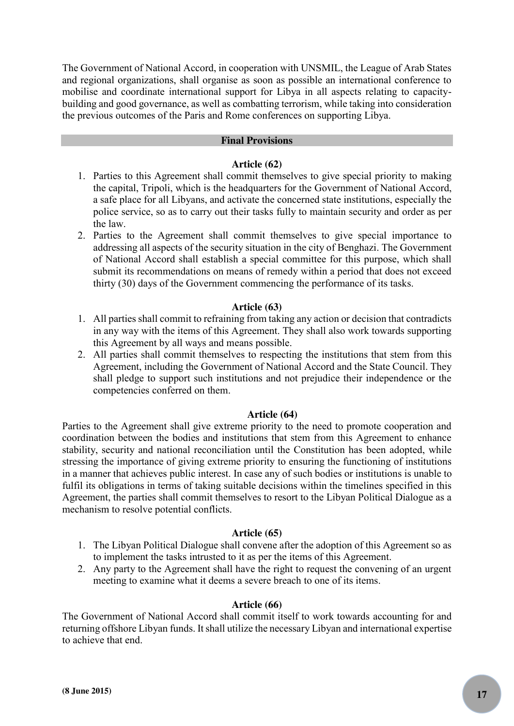The Government of National Accord, in cooperation with UNSMIL, the League of Arab States and regional organizations, shall organise as soon as possible an international conference to mobilise and coordinate international support for Libya in all aspects relating to capacitybuilding and good governance, as well as combatting terrorism, while taking into consideration the previous outcomes of the Paris and Rome conferences on supporting Libya.

# **Final Provisions**

## **Article (62)**

- 1. Parties to this Agreement shall commit themselves to give special priority to making the capital, Tripoli, which is the headquarters for the Government of National Accord, a safe place for all Libyans, and activate the concerned state institutions, especially the police service, so as to carry out their tasks fully to maintain security and order as per the law.
- 2. Parties to the Agreement shall commit themselves to give special importance to addressing all aspects of the security situation in the city of Benghazi. The Government of National Accord shall establish a special committee for this purpose, which shall submit its recommendations on means of remedy within a period that does not exceed thirty (30) days of the Government commencing the performance of its tasks.

# **Article (63)**

- 1. All parties shall commit to refraining from taking any action or decision that contradicts in any way with the items of this Agreement. They shall also work towards supporting this Agreement by all ways and means possible.
- 2. All parties shall commit themselves to respecting the institutions that stem from this Agreement, including the Government of National Accord and the State Council. They shall pledge to support such institutions and not prejudice their independence or the competencies conferred on them.

## **Article (64)**

Parties to the Agreement shall give extreme priority to the need to promote cooperation and coordination between the bodies and institutions that stem from this Agreement to enhance stability, security and national reconciliation until the Constitution has been adopted, while stressing the importance of giving extreme priority to ensuring the functioning of institutions in a manner that achieves public interest. In case any of such bodies or institutions is unable to fulfil its obligations in terms of taking suitable decisions within the timelines specified in this Agreement, the parties shall commit themselves to resort to the Libyan Political Dialogue as a mechanism to resolve potential conflicts.

## **Article (65)**

- 1. The Libyan Political Dialogue shall convene after the adoption of this Agreement so as to implement the tasks intrusted to it as per the items of this Agreement.
- 2. Any party to the Agreement shall have the right to request the convening of an urgent meeting to examine what it deems a severe breach to one of its items.

## **Article (66)**

The Government of National Accord shall commit itself to work towards accounting for and returning offshore Libyan funds. It shall utilize the necessary Libyan and international expertise to achieve that end.